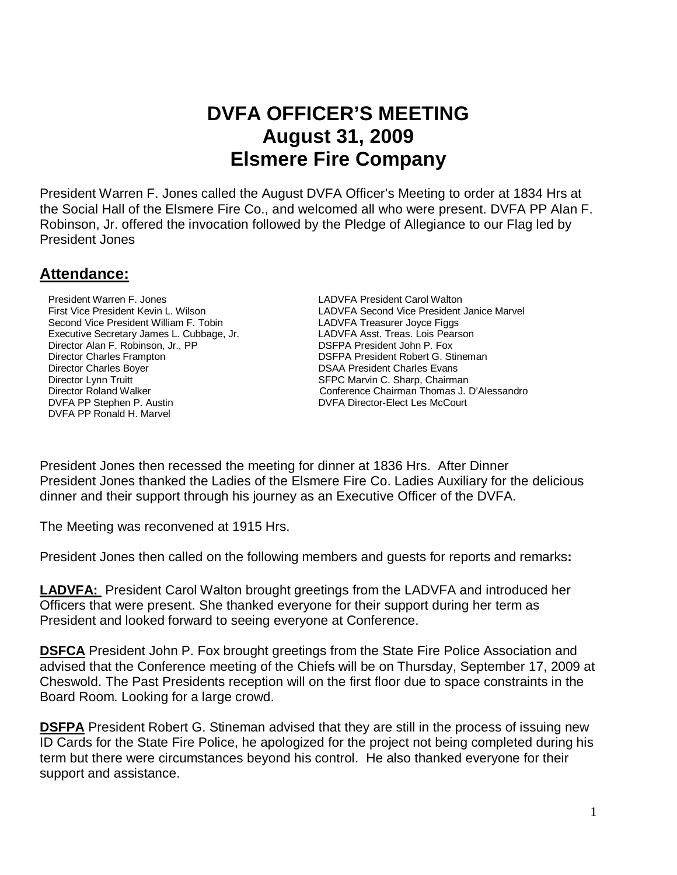# **DVFA OFFICER'S MEETING August 31, 2009 Elsmere Fire Company**

President Warren F. Jones called the August DVFA Officer's Meeting to order at 1834 Hrs at the Social Hall of the Elsmere Fire Co., and welcomed all who were present. DVFA PP Alan F. Robinson, Jr. offered the invocation followed by the Pledge of Allegiance to our Flag led by President Jones

### **Attendance:**

President Warren F. Jones LADVFA President Carol Walton Second Vice President William F. Tobin LabUFA Treasurer Joyce Figgs Executive Secretary James L. Cubbage, Jr. <br>
Director Alan F. Robinson, Jr., PP **Executive Secretary President John P. Fox** DSFPA President John P. Fox Director Alan F. Robinson, Jr., PP Director Charles Frampton DSFPA President Robert G. Stineman Director Charles Boyer **DIRECT CONSTRUSTED BOYER CONSTRUSTED BOYER DETAILS** DSAA President Charles Evans Director Lynn Truitt **SEPC Marvin C. Sharp, Chairman**<br>Director Roland Walker **Starp, Chairman Conference Chairman Thomas J.** I DVFA PP Stephen P. Austin **DVFA Director-Elect Les McCourt** DVFA PP Ronald H. Marvel

 First Vice President Kevin L. Wilson LADVFA Second Vice President Janice Marvel Conference Chairman Thomas J. D'Alessandro

President Jones then recessed the meeting for dinner at 1836 Hrs. After Dinner President Jones thanked the Ladies of the Elsmere Fire Co. Ladies Auxiliary for the delicious dinner and their support through his journey as an Executive Officer of the DVFA.

The Meeting was reconvened at 1915 Hrs.

President Jones then called on the following members and guests for reports and remarks**:** 

**LADVFA:** President Carol Walton brought greetings from the LADVFA and introduced her Officers that were present. She thanked everyone for their support during her term as President and looked forward to seeing everyone at Conference.

**DSFCA** President John P. Fox brought greetings from the State Fire Police Association and advised that the Conference meeting of the Chiefs will be on Thursday, September 17, 2009 at Cheswold. The Past Presidents reception will on the first floor due to space constraints in the Board Room. Looking for a large crowd.

**DSFPA** President Robert G. Stineman advised that they are still in the process of issuing new ID Cards for the State Fire Police, he apologized for the project not being completed during his term but there were circumstances beyond his control. He also thanked everyone for their support and assistance.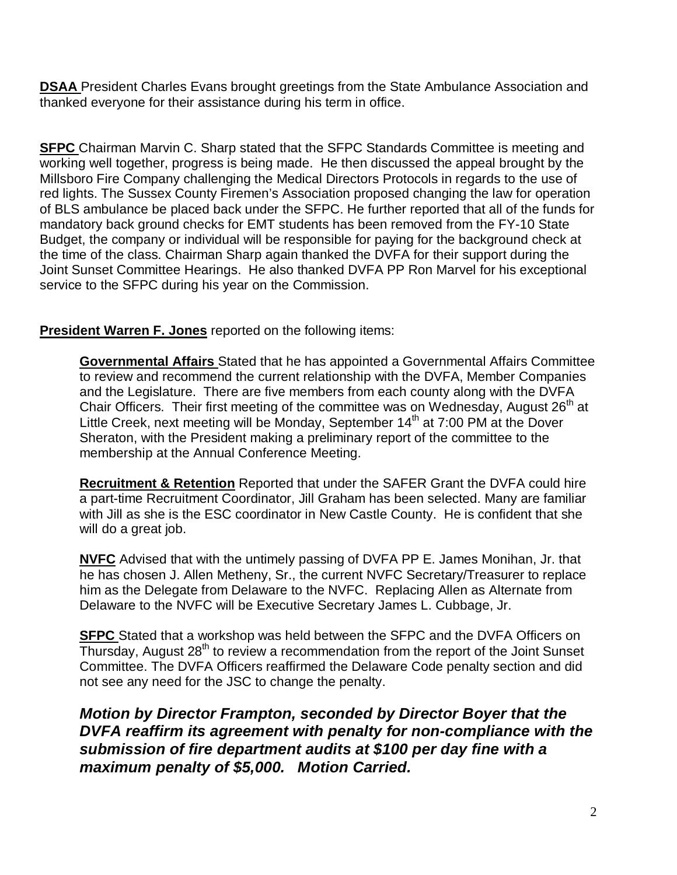**DSAA** President Charles Evans brought greetings from the State Ambulance Association and thanked everyone for their assistance during his term in office.

**SFPC** Chairman Marvin C. Sharp stated that the SFPC Standards Committee is meeting and working well together, progress is being made. He then discussed the appeal brought by the Millsboro Fire Company challenging the Medical Directors Protocols in regards to the use of red lights. The Sussex County Firemen's Association proposed changing the law for operation of BLS ambulance be placed back under the SFPC. He further reported that all of the funds for mandatory back ground checks for EMT students has been removed from the FY-10 State Budget, the company or individual will be responsible for paying for the background check at the time of the class. Chairman Sharp again thanked the DVFA for their support during the Joint Sunset Committee Hearings. He also thanked DVFA PP Ron Marvel for his exceptional service to the SFPC during his year on the Commission.

#### **President Warren F. Jones** reported on the following items:

**Governmental Affairs** Stated that he has appointed a Governmental Affairs Committee to review and recommend the current relationship with the DVFA, Member Companies and the Legislature. There are five members from each county along with the DVFA Chair Officers. Their first meeting of the committee was on Wednesday, August  $26<sup>th</sup>$  at Little Creek, next meeting will be Monday, September  $14<sup>th</sup>$  at  $7:00$  PM at the Dover Sheraton, with the President making a preliminary report of the committee to the membership at the Annual Conference Meeting.

**Recruitment & Retention** Reported that under the SAFER Grant the DVFA could hire a part-time Recruitment Coordinator, Jill Graham has been selected. Many are familiar with Jill as she is the ESC coordinator in New Castle County. He is confident that she will do a great job.

**NVFC** Advised that with the untimely passing of DVFA PP E. James Monihan, Jr. that he has chosen J. Allen Metheny, Sr., the current NVFC Secretary/Treasurer to replace him as the Delegate from Delaware to the NVFC. Replacing Allen as Alternate from Delaware to the NVFC will be Executive Secretary James L. Cubbage, Jr.

**SFPC** Stated that a workshop was held between the SFPC and the DVFA Officers on  $\overline{T}$ hursday, August 28<sup>th</sup> to review a recommendation from the report of the Joint Sunset Committee. The DVFA Officers reaffirmed the Delaware Code penalty section and did not see any need for the JSC to change the penalty.

**Motion by Director Frampton, seconded by Director Boyer that the DVFA reaffirm its agreement with penalty for non-compliance with the submission of fire department audits at \$100 per day fine with a maximum penalty of \$5,000. Motion Carried.**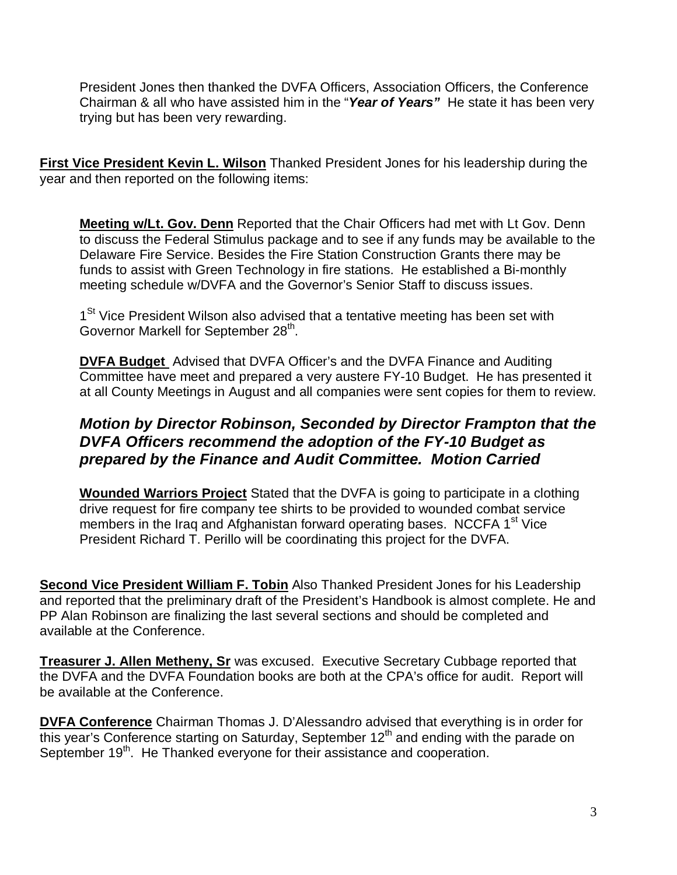President Jones then thanked the DVFA Officers, Association Officers, the Conference Chairman & all who have assisted him in the "**Year of Years"** He state it has been very trying but has been very rewarding.

**First Vice President Kevin L. Wilson** Thanked President Jones for his leadership during the year and then reported on the following items:

**Meeting w/Lt. Gov. Denn** Reported that the Chair Officers had met with Lt Gov. Denn to discuss the Federal Stimulus package and to see if any funds may be available to the Delaware Fire Service. Besides the Fire Station Construction Grants there may be funds to assist with Green Technology in fire stations. He established a Bi-monthly meeting schedule w/DVFA and the Governor's Senior Staff to discuss issues.

1<sup>St</sup> Vice President Wilson also advised that a tentative meeting has been set with Governor Markell for September 28<sup>th</sup>.

**DVFA Budget** Advised that DVFA Officer's and the DVFA Finance and Auditing Committee have meet and prepared a very austere FY-10 Budget. He has presented it at all County Meetings in August and all companies were sent copies for them to review.

## **Motion by Director Robinson, Seconded by Director Frampton that the DVFA Officers recommend the adoption of the FY-10 Budget as prepared by the Finance and Audit Committee. Motion Carried**

**Wounded Warriors Project** Stated that the DVFA is going to participate in a clothing drive request for fire company tee shirts to be provided to wounded combat service members in the Iraq and Afghanistan forward operating bases. NCCFA 1<sup>st</sup> Vice President Richard T. Perillo will be coordinating this project for the DVFA.

**Second Vice President William F. Tobin** Also Thanked President Jones for his Leadership and reported that the preliminary draft of the President's Handbook is almost complete. He and PP Alan Robinson are finalizing the last several sections and should be completed and available at the Conference.

**Treasurer J. Allen Metheny, Sr** was excused. Executive Secretary Cubbage reported that the DVFA and the DVFA Foundation books are both at the CPA's office for audit. Report will be available at the Conference.

**DVFA Conference** Chairman Thomas J. D'Alessandro advised that everything is in order for this year's Conference starting on Saturday, September 12<sup>th</sup> and ending with the parade on September 19<sup>th</sup>. He Thanked everyone for their assistance and cooperation.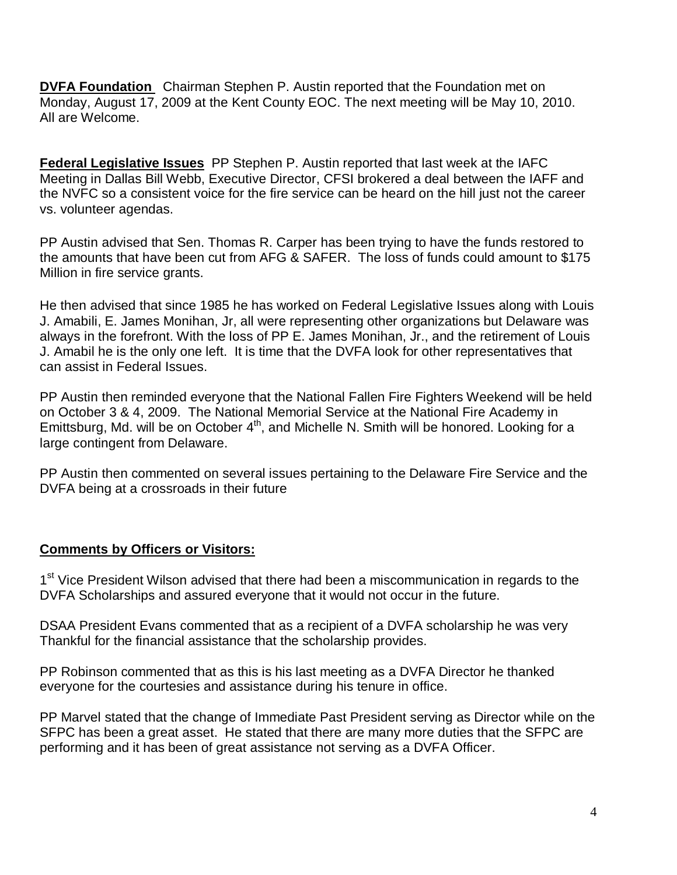**DVFA Foundation** Chairman Stephen P. Austin reported that the Foundation met on Monday, August 17, 2009 at the Kent County EOC. The next meeting will be May 10, 2010. All are Welcome.

**Federal Legislative Issues** PP Stephen P. Austin reported that last week at the IAFC Meeting in Dallas Bill Webb, Executive Director, CFSI brokered a deal between the IAFF and the NVFC so a consistent voice for the fire service can be heard on the hill just not the career vs. volunteer agendas.

PP Austin advised that Sen. Thomas R. Carper has been trying to have the funds restored to the amounts that have been cut from AFG & SAFER. The loss of funds could amount to \$175 Million in fire service grants.

He then advised that since 1985 he has worked on Federal Legislative Issues along with Louis J. Amabili, E. James Monihan, Jr, all were representing other organizations but Delaware was always in the forefront. With the loss of PP E. James Monihan, Jr., and the retirement of Louis J. Amabil he is the only one left. It is time that the DVFA look for other representatives that can assist in Federal Issues.

PP Austin then reminded everyone that the National Fallen Fire Fighters Weekend will be held on October 3 & 4, 2009. The National Memorial Service at the National Fire Academy in Emittsburg, Md. will be on October 4<sup>th</sup>, and Michelle N. Smith will be honored. Looking for a large contingent from Delaware.

PP Austin then commented on several issues pertaining to the Delaware Fire Service and the DVFA being at a crossroads in their future

#### **Comments by Officers or Visitors:**

1<sup>st</sup> Vice President Wilson advised that there had been a miscommunication in regards to the DVFA Scholarships and assured everyone that it would not occur in the future.

DSAA President Evans commented that as a recipient of a DVFA scholarship he was very Thankful for the financial assistance that the scholarship provides.

PP Robinson commented that as this is his last meeting as a DVFA Director he thanked everyone for the courtesies and assistance during his tenure in office.

PP Marvel stated that the change of Immediate Past President serving as Director while on the SFPC has been a great asset. He stated that there are many more duties that the SFPC are performing and it has been of great assistance not serving as a DVFA Officer.